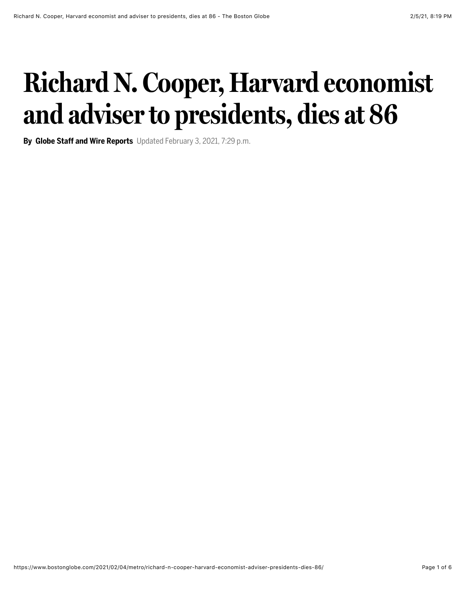## **Richard N. Cooper, Harvard economist and adviser to presidents, dies at 86**

**By Globe Staff and Wire Reports** Updated February 3, 2021, 7:29 p.m.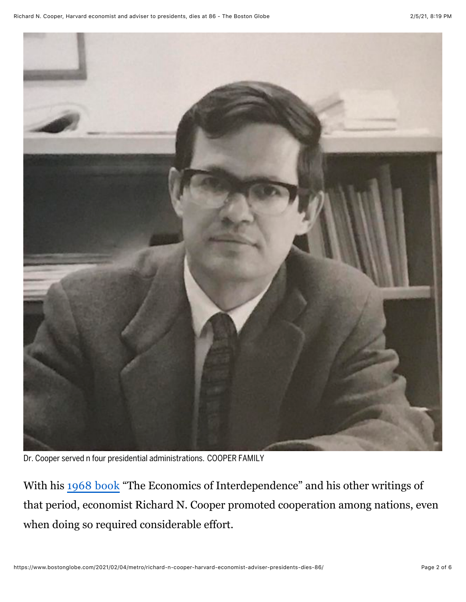

Dr. Cooper served n four presidential administrations. COOPER FAMILY

With his [1968 book](https://books.google.com/books/about/The_Economics_of_Interdependence.html?id=a05jAAAAIAAJ) "The Economics of Interdependence" and his other writings of that period, economist Richard N. Cooper promoted cooperation among nations, even when doing so required considerable effort.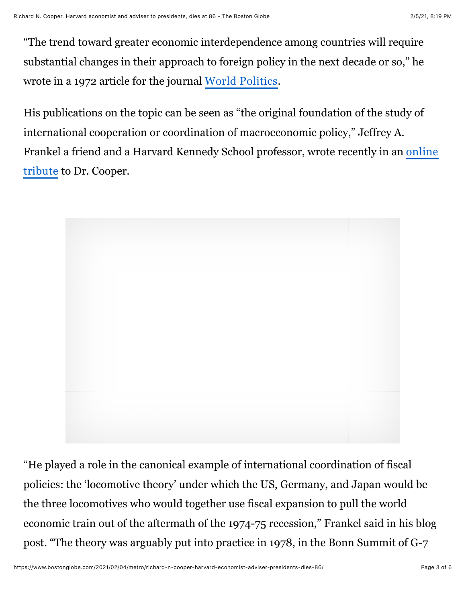"The trend toward greater economic interdependence among countries will require substantial changes in their approach to foreign policy in the next decade or so," he wrote in a 1972 article for the journal [World Politics](https://www.jstor.org/stable/2009735?seq=1).

His publications on the topic can be seen as "the original foundation of the study of international cooperation or coordination of macroeconomic policy," Jeffrey A. [Frankel a friend and a Harvard Kennedy School professor, wrote recently in an online](http://econbrowser.com/archives/2020/12/in-memory-of-richard-cooper) tribute to Dr. Cooper.



"He played a role in the canonical example of international coordination of fiscal policies: the 'locomotive theory' under which the US, Germany, and Japan would be the three locomotives who would together use fiscal expansion to pull the world economic train out of the aftermath of the 1974-75 recession," Frankel said in his blog post. "The theory was arguably put into practice in 1978, in the Bonn Summit of G-7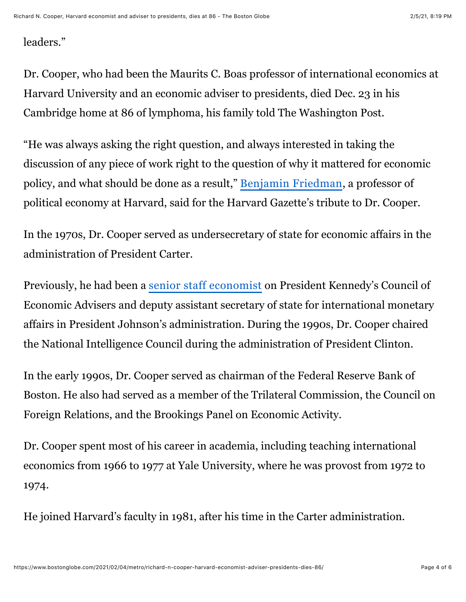leaders."

Dr. Cooper, who had been the Maurits C. Boas professor of international economics at Harvard University and an economic adviser to presidents, died Dec. 23 in his Cambridge home at 86 of lymphoma, his family told The Washington Post.

"He was always asking the right question, and always interested in taking the discussion of any piece of work right to the question of why it mattered for economic policy, and what should be done as a result," [Benjamin Friedman](https://scholar.harvard.edu/bfriedman), a professor of political economy at Harvard, said for the Harvard Gazette's tribute to Dr. Cooper.

In the 1970s, Dr. Cooper served as undersecretary of state for economic affairs in the administration of President Carter.

Previously, he had been a [senior staff economist](https://www.jfklibrary.org/asset-viewer/archives/JFKWHP/1962/Month%2005/Day%2010/JFKWHP-1962-05-10-C) on President Kennedy's Council of Economic Advisers and deputy assistant secretary of state for international monetary affairs in President Johnson's administration. During the 1990s, Dr. Cooper chaired the National Intelligence Council during the administration of President Clinton.

In the early 1990s, Dr. Cooper served as chairman of the Federal Reserve Bank of Boston. He also had served as a member of the Trilateral Commission, the Council on Foreign Relations, and the Brookings Panel on Economic Activity.

Dr. Cooper spent most of his career in academia, including teaching international economics from 1966 to 1977 at Yale University, where he was provost from 1972 to 1974.

He joined Harvard's faculty in 1981, after his time in the Carter administration.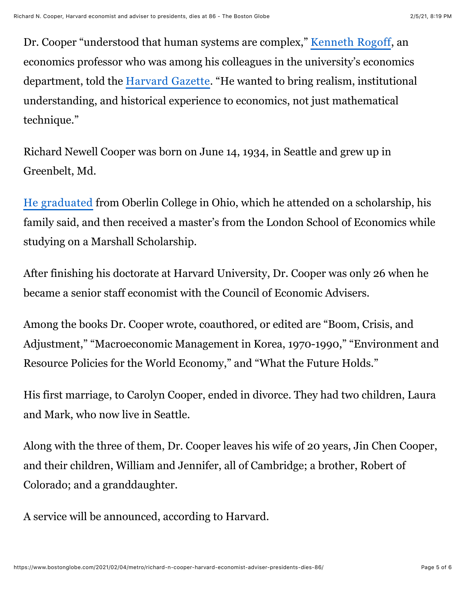Dr. Cooper "understood that human systems are complex," [Kenneth Rogoff](https://scholar.harvard.edu/rogoff/home), an economics professor who was among his colleagues in the university's economics department, told the [Harvard Gazette](https://news.harvard.edu/gazette/story/2021/01/international-economist-richard-cooper-dies-at-86/). "He wanted to bring realism, institutional understanding, and historical experience to economics, not just mathematical technique."

Richard Newell Cooper was born on June 14, 1934, in Seattle and grew up in Greenbelt, Md.

[He graduated](https://scholar.harvard.edu/files/cooper/files/bio.pdf) from Oberlin College in Ohio, which he attended on a scholarship, his family said, and then received a master's from the London School of Economics while studying on a Marshall Scholarship.

After finishing his doctorate at Harvard University, Dr. Cooper was only 26 when he became a senior staff economist with the Council of Economic Advisers.

Among the books Dr. Cooper wrote, coauthored, or edited are "Boom, Crisis, and Adjustment," "Macroeconomic Management in Korea, 1970-1990," "Environment and Resource Policies for the World Economy," and "What the Future Holds."

His first marriage, to Carolyn Cooper, ended in divorce. They had two children, Laura and Mark, who now live in Seattle.

Along with the three of them, Dr. Cooper leaves his wife of 20 years, Jin Chen Cooper, and their children, William and Jennifer, all of Cambridge; a brother, Robert of Colorado; and a granddaughter.

A service will be announced, according to Harvard.